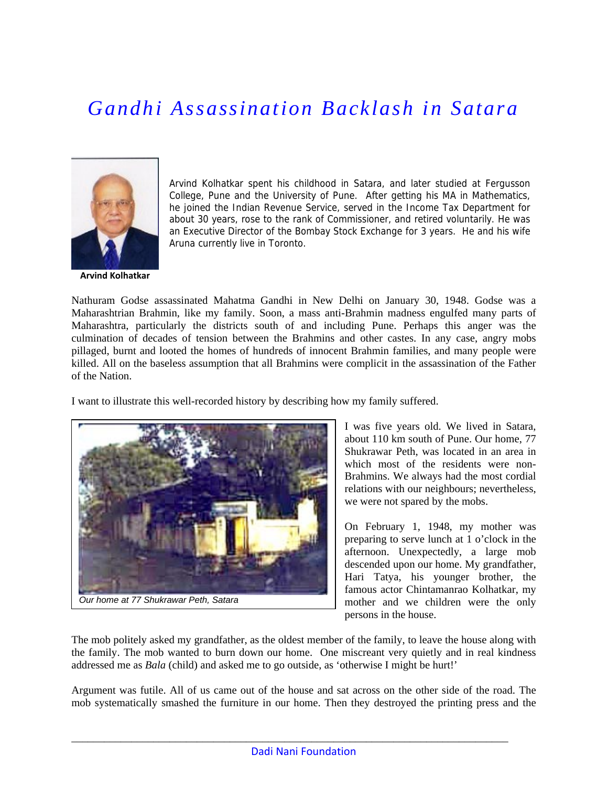## *Gandhi Assassination Backlash in Satara*



**Arvind Kolhatkar**

Arvind Kolhatkar spent his childhood in Satara, and later studied at Fergusson College, Pune and the University of Pune. After getting his MA in Mathematics, he joined the Indian Revenue Service, served in the Income Tax Department for about 30 years, rose to the rank of Commissioner, and retired voluntarily. He was an Executive Director of the Bombay Stock Exchange for 3 years. He and his wife Aruna currently live in Toronto.

Nathuram Godse assassinated Mahatma Gandhi in New Delhi on January 30, 1948. Godse was a Maharashtrian Brahmin, like my family. Soon, a mass anti-Brahmin madness engulfed many parts of Maharashtra, particularly the districts south of and including Pune. Perhaps this anger was the culmination of decades of tension between the Brahmins and other castes. In any case, angry mobs pillaged, burnt and looted the homes of hundreds of innocent Brahmin families, and many people were killed. All on the baseless assumption that all Brahmins were complicit in the assassination of the Father of the Nation.

I want to illustrate this well-recorded history by describing how my family suffered.



I was five years old. We lived in Satara, about 110 km south of Pune. Our home, 77 Shukrawar Peth, was located in an area in which most of the residents were non-Brahmins. We always had the most cordial relations with our neighbours; nevertheless, we were not spared by the mobs.

On February 1, 1948, my mother was preparing to serve lunch at 1 o'clock in the afternoon. Unexpectedly, a large mob descended upon our home. My grandfather, Hari Tatya, his younger brother, the famous actor Chintamanrao Kolhatkar, my mother and we children were the only persons in the house.

The mob politely asked my grandfather, as the oldest member of the family, to leave the house along with the family. The mob wanted to burn down our home. One miscreant very quietly and in real kindness addressed me as *Bala* (child) and asked me to go outside, as 'otherwise I might be hurt!'

Argument was futile. All of us came out of the house and sat across on the other side of the road. The mob systematically smashed the furniture in our home. Then they destroyed the printing press and the

\_\_\_\_\_\_\_\_\_\_\_\_\_\_\_\_\_\_\_\_\_\_\_\_\_\_\_\_\_\_\_\_\_\_\_\_\_\_\_\_\_\_\_\_\_\_\_\_\_\_\_\_\_\_\_\_\_\_\_\_\_\_\_\_\_\_\_\_\_\_\_\_\_\_\_\_\_\_\_\_